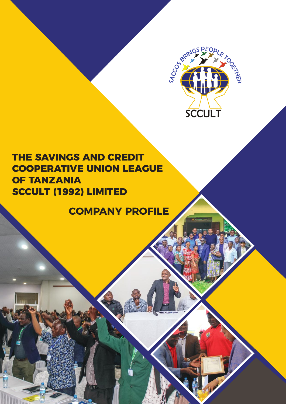

# **THE SAVINGS AND CREDIT COOPERATIVE UNION LEAGUE OF TANZANIA SCCULT (1992) LIMITED**

# **COMPANY PROFILE**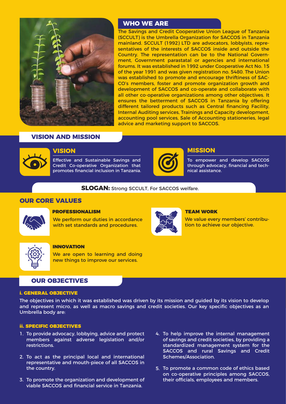

## **WHO WE ARE**

The Savings and Credit Cooperative Union League of Tanzania (SCCULT) is the Umbrella Organization for SACCOS in Tanzania mainland. SCCULT (1992) LTD are advocators, lobbyists, representatives of the interests of SACCOS inside and outside the Country. The representation can be to the National Government, Government parastatal or agencies and international forums. It was established in 1992 under Cooperative Act No. 15 of the year 1991 and was given registration no. 5480. The Union was established to promote and encourage thriftiness of SAC-CO's members, foster and promote organization growth and development of SACCOS and co-operate and collaborate with all other co-operative organizations among other objectives. It ensures the betterment of SACCOS in Tanzania by offering different tailored products such as Central financing Facility, Internal Auditing services, Trainings and Capacity development, accounting pool services, Sale of Accounting stationeries, legal advice and marketing support to SACCOS.

## **VISION AND MISSION**



Effective and Sustainable Savings and Credit Co-operative Organization that promotes financial inclusion in Tanzania.



To empower and develop SACCOS through advocacy, financial and technical assistance.

**SLOGAN:** Strong SCCULT, For SACCOS welfare.

## **OUR CORE VALUES**



## PROFESSIONALISM

We perform our duties in accordance with set standards and procedures.



## TEAM WORK

We value every members' contribution to achieve our objective.



#### INNOVATION

We are open to learning and doing new things to improve our services.

## **OUR OBJECTIVES**

#### i. GENERAL OBJECTIVE

The objectives in which it was established was driven by its mission and guided by its vision to develop and represent micro, as well as macro savings and credit societies. Our key specific objectives as an Umbrella body are:

#### ii. SPECIFIC OBJECTIVES

- 1. To provide advocacy, lobbying, advice and protect members against adverse legislation and/or restrictions.
- 2. To act as the principal local and international representative and mouth-piece of all SACCOS in the country.
- 3. To promote the organization and development of viable SACCOS and financial service in Tanzania.
- 4. To help improve the internal management of savings and credit societies, by providing a standardized management system for the SACCOS and rural Savings and Credit Schemes/Association.
- 5. To promote a common code of ethics based on co-operative principles among SACCOS, their officials, employees and members.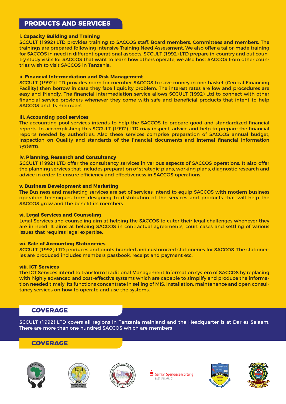## **PRODUCTS AND SERVICES**

## **i. Capacity Building and Training**

SCCULT (1992) LTD provides training to SACCOS staff, Board members, Committees and members. The trainings are prepared following intensive Training Need Assessment. We also offer a tailor-made training for SACCOS in need in different operational aspects. SCCULT (1992) LTD prepare in-country and out country study visits for SACCOS that want to learn how others operate, we also host SACCOS from other countries wish to visit SACCOS in Tanzania.

## **ii. Financial Intermediation and Risk Management**

SCCULT (1992) LTD provides room for member SACCOS to save money in one basket (Central Financing Facility) then borrow in case they face liquidity problem. The interest rates are low and procedures are easy and friendly. The financial intermediation service allows SCCULT (1992) Ltd to connect with other financial service providers whenever they come with safe and beneficial products that intent to help SACCOS and its members.

## **iii. Accounting pool services**

The accounting pool services intends to help the SACCOS to prepare good and standardized financial reports, In accomplishing this SCCULT (1992) LTD may inspect, advice and help to prepare the financial reports needed by authorities. Also these services comprise preparation of SACCOS annual budget, inspection on Quality and standards of the financial documents and internal financial information systems.

## **iv. Planning, Research and Consultancy**

SCCULT (1992) LTD offer the consultancy services in various aspects of SACCOS operations. It also offer the planning services that includes preparation of strategic plans, working plans, diagnostic research and advice in order to ensure efficiency and effectiveness in SACCOS operations.

## **v. Business Development and Marketing**

The Business and marketing services are set of services intend to equip SACCOS with modern business operation techniques from designing to distribution of the services and products that will help the SACCOS grow and the benefit its members.

## **vi. Legal Services and Counseling**

Legal Services and counseling aim at helping the SACCOS to cuter their legal challenges whenever they are in need. It aims at helping SACCOS in contractual agreements, court cases and settling of various issues that requires legal expertise.

## **vii. Sale of Accounting Stationeries**

SCCULT (1992) LTD produces and prints branded and customized stationeries for SACCOS. The stationeries are produced includes members passbook, receipt and payment etc.

## **viii. ICT Services**

The ICT Services intend to transform traditional Management Information system of SACCOS by replacing with highly advanced and cost-effective systems which are capable to simplify and produce the information needed timely. Its functions concentrate in selling of MIS, installation, maintenance and open consultancy services on how to operate and use the systems.

## **COVERAGE**

SCCULT (1992) LTD covers all regions in Tanzania mainland and the Headquarter is at Dar es Salaam. There are more than one hundred SACCOS which are members

## **COVERAGE**